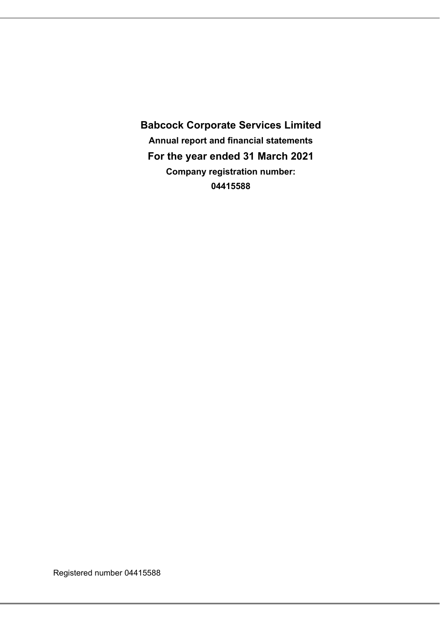**Babcock Corporate Services Limited Annual report and financial statements For the year ended 31 March 2021 Company registration number: 04415588** 

Registered number 04415588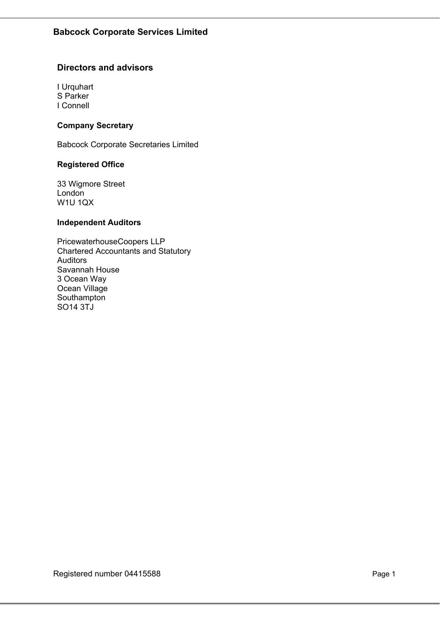# **Directors and advisors**

I Urquhart S Parker I Connell

## **Company Secretary**

Babcock Corporate Secretaries Limited

### **Registered Office**

33 Wigmore Street London W1U 1QX

### **Independent Auditors**

PricewaterhouseCoopers LLP Chartered Accountants and Statutory Auditors Savannah House 3 Ocean Way Ocean Village Southampton SO14 3TJ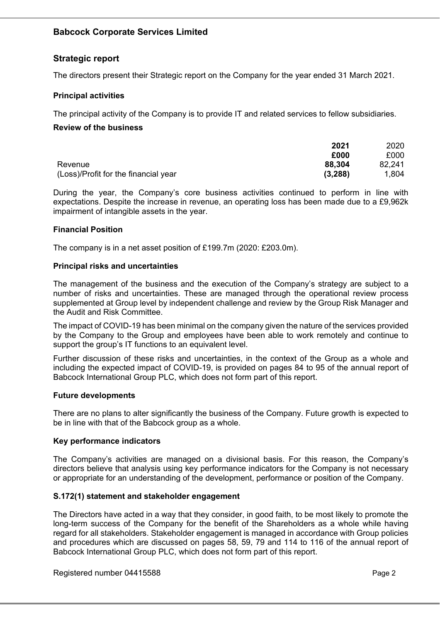## **Strategic report**

The directors present their Strategic report on the Company for the year ended 31 March 2021.

### **Principal activities**

The principal activity of the Company is to provide IT and related services to fellow subsidiaries.

#### **Review of the business**

|                                      | 2021    | 2020   |
|--------------------------------------|---------|--------|
|                                      | £000    | £000   |
| Revenue                              | 88,304  | 82,241 |
| (Loss)/Profit for the financial year | (3,288) | 1,804  |

During the year, the Company's core business activities continued to perform in line with expectations. Despite the increase in revenue, an operating loss has been made due to a £9,962k impairment of intangible assets in the year.

### **Financial Position**

The company is in a net asset position of £199.7m (2020: £203.0m).

#### **Principal risks and uncertainties**

The management of the business and the execution of the Company's strategy are subject to a number of risks and uncertainties. These are managed through the operational review process supplemented at Group level by independent challenge and review by the Group Risk Manager and the Audit and Risk Committee.

The impact of COVID-19 has been minimal on the company given the nature of the services provided by the Company to the Group and employees have been able to work remotely and continue to support the group's IT functions to an equivalent level.

Further discussion of these risks and uncertainties, in the context of the Group as a whole and including the expected impact of COVID-19, is provided on pages 84 to 95 of the annual report of Babcock International Group PLC, which does not form part of this report.

#### **Future developments**

There are no plans to alter significantly the business of the Company. Future growth is expected to be in line with that of the Babcock group as a whole.

#### **Key performance indicators**

The Company's activities are managed on a divisional basis. For this reason, the Company's directors believe that analysis using key performance indicators for the Company is not necessary or appropriate for an understanding of the development, performance or position of the Company.

### **S.172(1) statement and stakeholder engagement**

The Directors have acted in a way that they consider, in good faith, to be most likely to promote the long-term success of the Company for the benefit of the Shareholders as a whole while having regard for all stakeholders. Stakeholder engagement is managed in accordance with Group policies and procedures which are discussed on pages 58, 59, 79 and 114 to 116 of the annual report of Babcock International Group PLC, which does not form part of this report.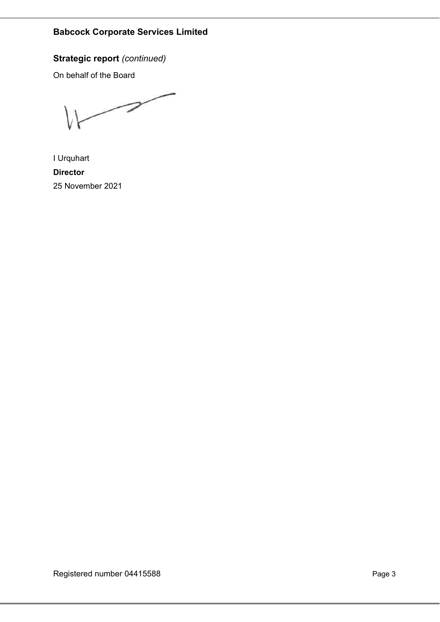# **Strategic report** *(continued)*

On behalf of the Board

 $\widetilde{\phantom{a}}$ 

I Urquhart **Director**  25 November 2021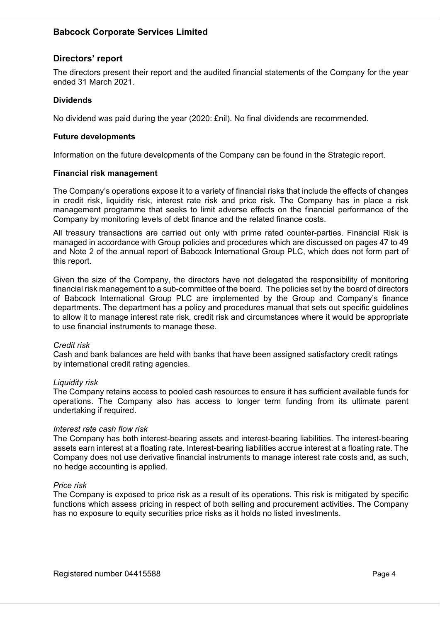### **Directors' report**

The directors present their report and the audited financial statements of the Company for the year ended 31 March 2021.

#### **Dividends**

No dividend was paid during the year (2020: £nil). No final dividends are recommended.

#### **Future developments**

Information on the future developments of the Company can be found in the Strategic report.

#### **Financial risk management**

The Company's operations expose it to a variety of financial risks that include the effects of changes in credit risk, liquidity risk, interest rate risk and price risk. The Company has in place a risk management programme that seeks to limit adverse effects on the financial performance of the Company by monitoring levels of debt finance and the related finance costs.

All treasury transactions are carried out only with prime rated counter-parties. Financial Risk is managed in accordance with Group policies and procedures which are discussed on pages 47 to 49 and Note 2 of the annual report of Babcock International Group PLC, which does not form part of this report.

Given the size of the Company, the directors have not delegated the responsibility of monitoring financial risk management to a sub-committee of the board. The policies set by the board of directors of Babcock International Group PLC are implemented by the Group and Company's finance departments. The department has a policy and procedures manual that sets out specific guidelines to allow it to manage interest rate risk, credit risk and circumstances where it would be appropriate to use financial instruments to manage these.

#### *Credit risk*

Cash and bank balances are held with banks that have been assigned satisfactory credit ratings by international credit rating agencies.

#### *Liquidity risk*

The Company retains access to pooled cash resources to ensure it has sufficient available funds for operations. The Company also has access to longer term funding from its ultimate parent undertaking if required.

#### *Interest rate cash flow risk*

The Company has both interest-bearing assets and interest-bearing liabilities. The interest-bearing assets earn interest at a floating rate. Interest-bearing liabilities accrue interest at a floating rate. The Company does not use derivative financial instruments to manage interest rate costs and, as such, no hedge accounting is applied.

#### *Price risk*

The Company is exposed to price risk as a result of its operations. This risk is mitigated by specific functions which assess pricing in respect of both selling and procurement activities. The Company has no exposure to equity securities price risks as it holds no listed investments.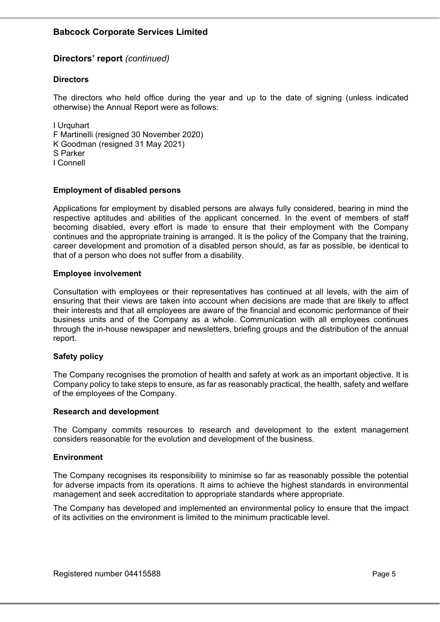# **Directors' report** *(continued)*

### **Directors**

The directors who held office during the year and up to the date of signing (unless indicated otherwise) the Annual Report were as follows:

I Urquhart F Martinelli (resigned 30 November 2020) K Goodman (resigned 31 May 2021) S Parker I Connell

### **Employment of disabled persons**

Applications for employment by disabled persons are always fully considered, bearing in mind the respective aptitudes and abilities of the applicant concerned. In the event of members of staff becoming disabled, every effort is made to ensure that their employment with the Company continues and the appropriate training is arranged. It is the policy of the Company that the training, career development and promotion of a disabled person should, as far as possible, be identical to that of a person who does not suffer from a disability.

#### **Employee involvement**

Consultation with employees or their representatives has continued at all levels, with the aim of ensuring that their views are taken into account when decisions are made that are likely to affect their interests and that all employees are aware of the financial and economic performance of their business units and of the Company as a whole. Communication with all employees continues through the in-house newspaper and newsletters, briefing groups and the distribution of the annual report.

### **Safety policy**

The Company recognises the promotion of health and safety at work as an important objective. It is Company policy to take steps to ensure, as far as reasonably practical, the health, safety and welfare of the employees of the Company.

#### **Research and development**

The Company commits resources to research and development to the extent management considers reasonable for the evolution and development of the business.

### **Environment**

The Company recognises its responsibility to minimise so far as reasonably possible the potential for adverse impacts from its operations. It aims to achieve the highest standards in environmental management and seek accreditation to appropriate standards where appropriate.

The Company has developed and implemented an environmental policy to ensure that the impact of its activities on the environment is limited to the minimum practicable level.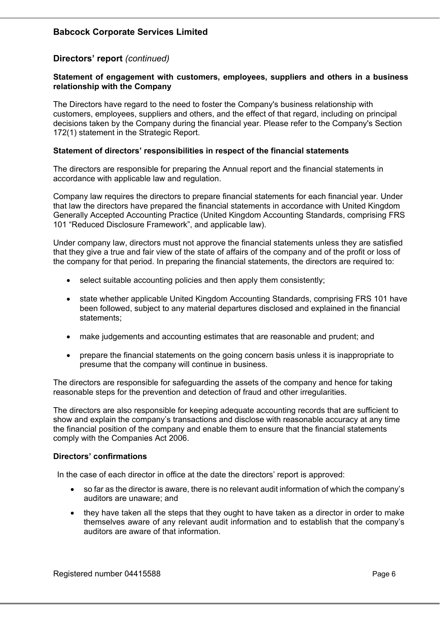# **Directors' report** *(continued)*

#### **Statement of engagement with customers, employees, suppliers and others in a business relationship with the Company**

The Directors have regard to the need to foster the Company's business relationship with customers, employees, suppliers and others, and the effect of that regard, including on principal decisions taken by the Company during the financial year. Please refer to the Company's Section 172(1) statement in the Strategic Report.

#### **Statement of directors' responsibilities in respect of the financial statements**

The directors are responsible for preparing the Annual report and the financial statements in accordance with applicable law and regulation.

Company law requires the directors to prepare financial statements for each financial year. Under that law the directors have prepared the financial statements in accordance with United Kingdom Generally Accepted Accounting Practice (United Kingdom Accounting Standards, comprising FRS 101 "Reduced Disclosure Framework", and applicable law).

Under company law, directors must not approve the financial statements unless they are satisfied that they give a true and fair view of the state of affairs of the company and of the profit or loss of the company for that period. In preparing the financial statements, the directors are required to:

- select suitable accounting policies and then apply them consistently;
- state whether applicable United Kingdom Accounting Standards, comprising FRS 101 have been followed, subject to any material departures disclosed and explained in the financial statements;
- make judgements and accounting estimates that are reasonable and prudent; and
- prepare the financial statements on the going concern basis unless it is inappropriate to presume that the company will continue in business.

The directors are responsible for safeguarding the assets of the company and hence for taking reasonable steps for the prevention and detection of fraud and other irregularities.

The directors are also responsible for keeping adequate accounting records that are sufficient to show and explain the company's transactions and disclose with reasonable accuracy at any time the financial position of the company and enable them to ensure that the financial statements comply with the Companies Act 2006.

#### **Directors' confirmations**

In the case of each director in office at the date the directors' report is approved:

- so far as the director is aware, there is no relevant audit information of which the company's auditors are unaware; and
- they have taken all the steps that they ought to have taken as a director in order to make themselves aware of any relevant audit information and to establish that the company's auditors are aware of that information.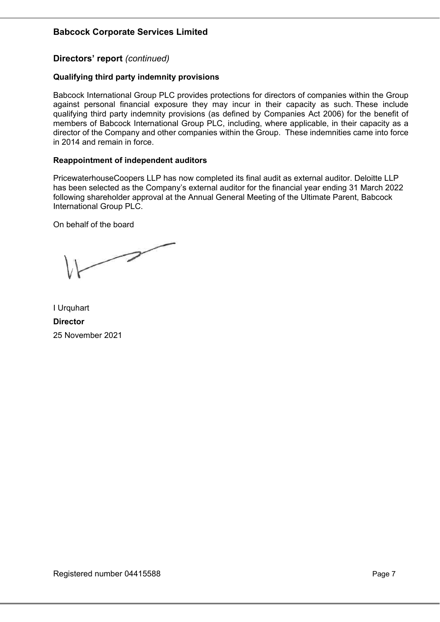# **Directors' report** *(continued)*

### **Qualifying third party indemnity provisions**

Babcock International Group PLC provides protections for directors of companies within the Group against personal financial exposure they may incur in their capacity as such. These include qualifying third party indemnity provisions (as defined by Companies Act 2006) for the benefit of members of Babcock International Group PLC, including, where applicable, in their capacity as a director of the Company and other companies within the Group. These indemnities came into force in 2014 and remain in force.

### **Reappointment of independent auditors**

PricewaterhouseCoopers LLP has now completed its final audit as external auditor. Deloitte LLP has been selected as the Company's external auditor for the financial year ending 31 March 2022 following shareholder approval at the Annual General Meeting of the Ultimate Parent, Babcock International Group PLC.

On behalf of the board

 $\widetilde{\phantom{a}}$ 

I Urquhart **Director**  25 November 2021

Registered number 04415588 Page 7 and the state of the state of the state of the state of the state of the state of the state of the state of the state of the state of the state of the state of the state of the state of th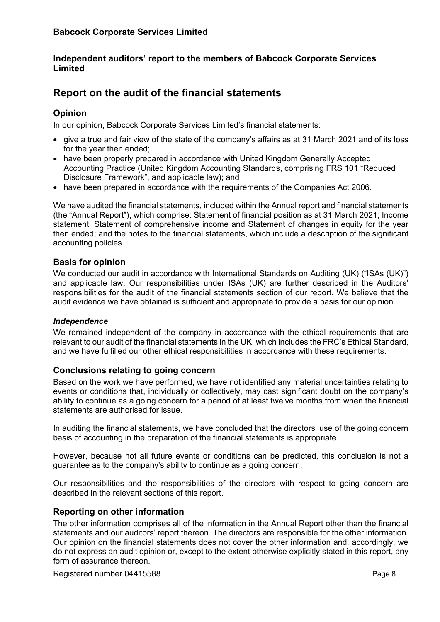# **Independent auditors' report to the members of Babcock Corporate Services Limited**

# **Report on the audit of the financial statements**

# **Opinion**

In our opinion, Babcock Corporate Services Limited's financial statements:

- give a true and fair view of the state of the company's affairs as at 31 March 2021 and of its loss for the year then ended;
- have been properly prepared in accordance with United Kingdom Generally Accepted Accounting Practice (United Kingdom Accounting Standards, comprising FRS 101 "Reduced Disclosure Framework", and applicable law); and
- have been prepared in accordance with the requirements of the Companies Act 2006.

We have audited the financial statements, included within the Annual report and financial statements (the "Annual Report"), which comprise: Statement of financial position as at 31 March 2021; Income statement, Statement of comprehensive income and Statement of changes in equity for the year then ended; and the notes to the financial statements, which include a description of the significant accounting policies.

### **Basis for opinion**

We conducted our audit in accordance with International Standards on Auditing (UK) ("ISAs (UK)") and applicable law. Our responsibilities under ISAs (UK) are further described in the Auditors' responsibilities for the audit of the financial statements section of our report. We believe that the audit evidence we have obtained is sufficient and appropriate to provide a basis for our opinion.

#### *Independence*

We remained independent of the company in accordance with the ethical requirements that are relevant to our audit of the financial statements in the UK, which includes the FRC's Ethical Standard, and we have fulfilled our other ethical responsibilities in accordance with these requirements.

### **Conclusions relating to going concern**

Based on the work we have performed, we have not identified any material uncertainties relating to events or conditions that, individually or collectively, may cast significant doubt on the company's ability to continue as a going concern for a period of at least twelve months from when the financial statements are authorised for issue.

In auditing the financial statements, we have concluded that the directors' use of the going concern basis of accounting in the preparation of the financial statements is appropriate.

However, because not all future events or conditions can be predicted, this conclusion is not a guarantee as to the company's ability to continue as a going concern.

Our responsibilities and the responsibilities of the directors with respect to going concern are described in the relevant sections of this report.

### **Reporting on other information**

The other information comprises all of the information in the Annual Report other than the financial statements and our auditors' report thereon. The directors are responsible for the other information. Our opinion on the financial statements does not cover the other information and, accordingly, we do not express an audit opinion or, except to the extent otherwise explicitly stated in this report, any form of assurance thereon.

Registered number 04415588 Page 8 Page 8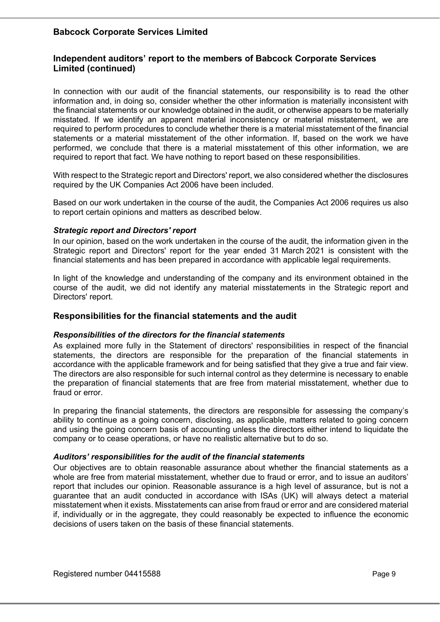# **Independent auditors' report to the members of Babcock Corporate Services Limited (continued)**

In connection with our audit of the financial statements, our responsibility is to read the other information and, in doing so, consider whether the other information is materially inconsistent with the financial statements or our knowledge obtained in the audit, or otherwise appears to be materially misstated. If we identify an apparent material inconsistency or material misstatement, we are required to perform procedures to conclude whether there is a material misstatement of the financial statements or a material misstatement of the other information. If, based on the work we have performed, we conclude that there is a material misstatement of this other information, we are required to report that fact. We have nothing to report based on these responsibilities.

With respect to the Strategic report and Directors' report, we also considered whether the disclosures required by the UK Companies Act 2006 have been included.

Based on our work undertaken in the course of the audit, the Companies Act 2006 requires us also to report certain opinions and matters as described below.

### *Strategic report and Directors' report*

In our opinion, based on the work undertaken in the course of the audit, the information given in the Strategic report and Directors' report for the year ended 31 March 2021 is consistent with the financial statements and has been prepared in accordance with applicable legal requirements.

In light of the knowledge and understanding of the company and its environment obtained in the course of the audit, we did not identify any material misstatements in the Strategic report and Directors' report.

### **Responsibilities for the financial statements and the audit**

#### *Responsibilities of the directors for the financial statements*

As explained more fully in the Statement of directors' responsibilities in respect of the financial statements, the directors are responsible for the preparation of the financial statements in accordance with the applicable framework and for being satisfied that they give a true and fair view. The directors are also responsible for such internal control as they determine is necessary to enable the preparation of financial statements that are free from material misstatement, whether due to fraud or error.

In preparing the financial statements, the directors are responsible for assessing the company's ability to continue as a going concern, disclosing, as applicable, matters related to going concern and using the going concern basis of accounting unless the directors either intend to liquidate the company or to cease operations, or have no realistic alternative but to do so.

#### *Auditors' responsibilities for the audit of the financial statements*

Our objectives are to obtain reasonable assurance about whether the financial statements as a whole are free from material misstatement, whether due to fraud or error, and to issue an auditors' report that includes our opinion. Reasonable assurance is a high level of assurance, but is not a guarantee that an audit conducted in accordance with ISAs (UK) will always detect a material misstatement when it exists. Misstatements can arise from fraud or error and are considered material if, individually or in the aggregate, they could reasonably be expected to influence the economic decisions of users taken on the basis of these financial statements.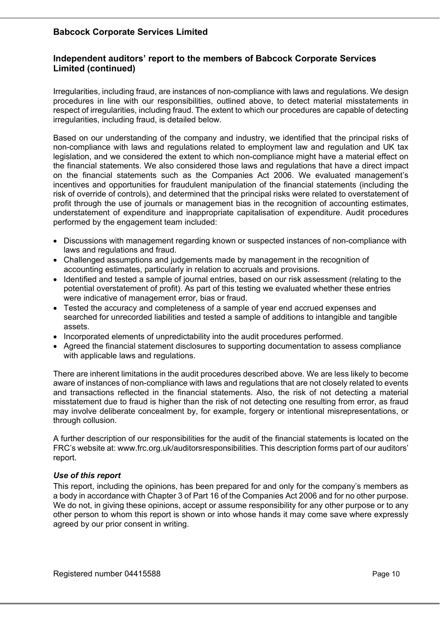## **Independent auditors' report to the members of Babcock Corporate Services Limited (continued)**

Irregularities, including fraud, are instances of non-compliance with laws and regulations. We design procedures in line with our responsibilities, outlined above, to detect material misstatements in respect of irregularities, including fraud. The extent to which our procedures are capable of detecting irregularities, including fraud, is detailed below.

Based on our understanding of the company and industry, we identified that the principal risks of non-compliance with laws and regulations related to employment law and regulation and UK tax legislation, and we considered the extent to which non-compliance might have a material effect on the financial statements. We also considered those laws and regulations that have a direct impact on the financial statements such as the Companies Act 2006. We evaluated management's incentives and opportunities for fraudulent manipulation of the financial statements (including the risk of override of controls), and determined that the principal risks were related to overstatement of profit through the use of journals or management bias in the recognition of accounting estimates, understatement of expenditure and inappropriate capitalisation of expenditure. Audit procedures performed by the engagement team included:

- Discussions with management regarding known or suspected instances of non-compliance with laws and regulations and fraud.
- Challenged assumptions and judgements made by management in the recognition of accounting estimates, particularly in relation to accruals and provisions.
- Identified and tested a sample of journal entries, based on our risk assessment (relating to the potential overstatement of profit). As part of this testing we evaluated whether these entries were indicative of management error, bias or fraud.
- Tested the accuracy and completeness of a sample of year end accrued expenses and searched for unrecorded liabilities and tested a sample of additions to intangible and tangible assets.
- Incorporated elements of unpredictability into the audit procedures performed.
- Agreed the financial statement disclosures to supporting documentation to assess compliance with applicable laws and regulations.

There are inherent limitations in the audit procedures described above. We are less likely to become aware of instances of non-compliance with laws and regulations that are not closely related to events and transactions reflected in the financial statements. Also, the risk of not detecting a material misstatement due to fraud is higher than the risk of not detecting one resulting from error, as fraud may involve deliberate concealment by, for example, forgery or intentional misrepresentations, or through collusion.

A further description of our responsibilities for the audit of the financial statements is located on the FRC's website at: www.frc.org.uk/auditorsresponsibilities. This description forms part of our auditors' report.

### *Use of this report*

This report, including the opinions, has been prepared for and only for the company's members as a body in accordance with Chapter 3 of Part 16 of the Companies Act 2006 and for no other purpose. We do not, in giving these opinions, accept or assume responsibility for any other purpose or to any other person to whom this report is shown or into whose hands it may come save where expressly agreed by our prior consent in writing.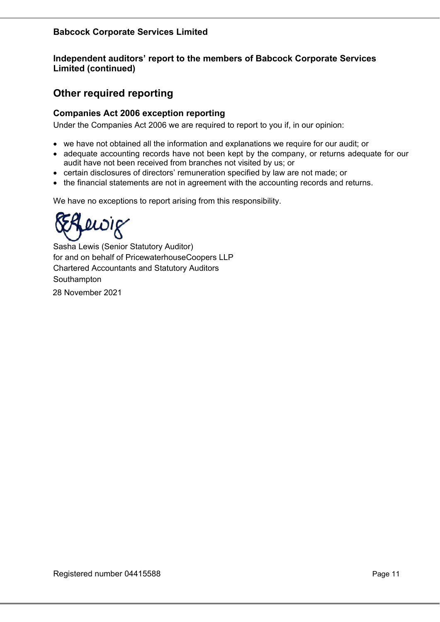**Independent auditors' report to the members of Babcock Corporate Services Limited (continued)** 

# **Other required reporting**

## **Companies Act 2006 exception reporting**

Under the Companies Act 2006 we are required to report to you if, in our opinion:

- we have not obtained all the information and explanations we require for our audit; or
- adequate accounting records have not been kept by the company, or returns adequate for our audit have not been received from branches not visited by us; or
- certain disclosures of directors' remuneration specified by law are not made; or
- the financial statements are not in agreement with the accounting records and returns.

We have no exceptions to report arising from this responsibility.

ewig

Sasha Lewis (Senior Statutory Auditor) for and on behalf of PricewaterhouseCoopers LLP Chartered Accountants and Statutory Auditors Southampton

28 November 2021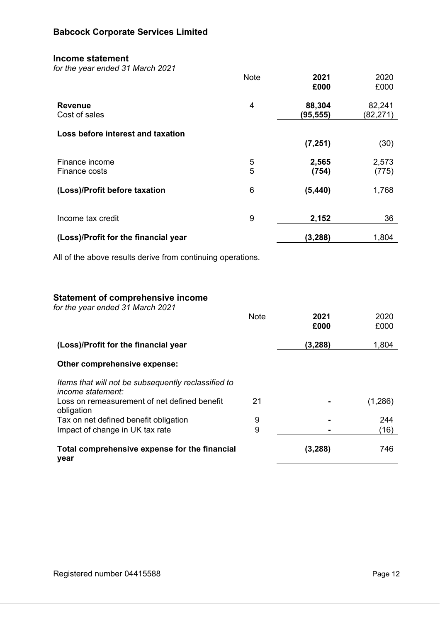### **Income statement**

*for the year ended 31 March 2021*

|                                      | <b>Note</b> | 2021     | 2020     |
|--------------------------------------|-------------|----------|----------|
|                                      |             | £000     | £000     |
| <b>Revenue</b>                       | 4           | 88,304   | 82,241   |
| Cost of sales                        |             | (95,555) | (82,271) |
| Loss before interest and taxation    |             |          |          |
|                                      |             | (7, 251) | (30)     |
| Finance income                       | 5           | 2,565    | 2,573    |
| Finance costs                        | 5           | (754)    | (775)    |
| (Loss)/Profit before taxation        | 6           | (5, 440) | 1,768    |
| Income tax credit                    | 9           | 2,152    | 36       |
| (Loss)/Profit for the financial year |             | (3, 288) | 1,804    |

All of the above results derive from continuing operations.

# **Statement of comprehensive income**

| for the year ended 31 March 2021                                                |             |          |         |
|---------------------------------------------------------------------------------|-------------|----------|---------|
|                                                                                 | <b>Note</b> | 2021     | 2020    |
|                                                                                 |             | £000     | £000    |
| (Loss)/Profit for the financial year                                            |             | (3, 288) | 1,804   |
| Other comprehensive expense:                                                    |             |          |         |
| Items that will not be subsequently reclassified to<br><i>income statement:</i> |             |          |         |
| Loss on remeasurement of net defined benefit<br>obligation                      | 21          |          | (1,286) |
| Tax on net defined benefit obligation                                           | 9           |          | 244     |
| Impact of change in UK tax rate                                                 | 9           |          | (16)    |
| Total comprehensive expense for the financial<br>year                           |             | (3, 288) | 746     |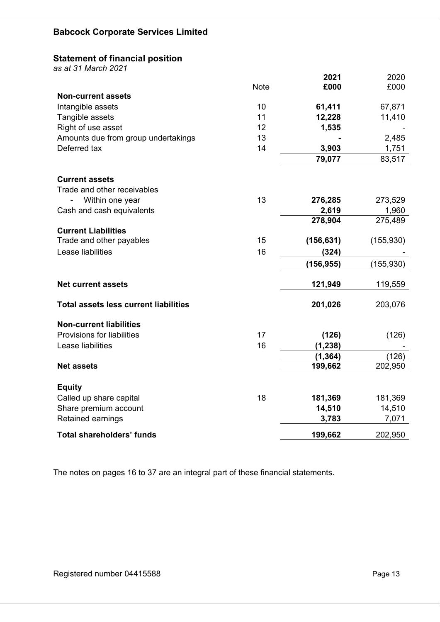# **Statement of financial position**

*as at 31 March 2021* 

|                                              |             | 2021       | 2020       |
|----------------------------------------------|-------------|------------|------------|
|                                              | <b>Note</b> | £000       | £000       |
| <b>Non-current assets</b>                    |             |            |            |
| Intangible assets                            | 10          | 61,411     | 67,871     |
| Tangible assets                              | 11          | 12,228     | 11,410     |
| Right of use asset                           | 12          | 1,535      |            |
| Amounts due from group undertakings          | 13          |            | 2,485      |
| Deferred tax                                 | 14          | 3,903      | 1,751      |
|                                              |             | 79,077     | 83,517     |
| <b>Current assets</b>                        |             |            |            |
| Trade and other receivables                  |             |            |            |
| Within one year                              | 13          | 276,285    | 273,529    |
| Cash and cash equivalents                    |             | 2,619      | 1,960      |
|                                              |             | 278,904    | 275,489    |
| <b>Current Liabilities</b>                   |             |            |            |
| Trade and other payables                     | 15          | (156, 631) | (155, 930) |
| Lease liabilities                            | 16          | (324)      |            |
|                                              |             |            |            |
|                                              |             | (156, 955) | (155,930)  |
| <b>Net current assets</b>                    |             | 121,949    | 119,559    |
|                                              |             |            |            |
| <b>Total assets less current liabilities</b> |             | 201,026    | 203,076    |
| <b>Non-current liabilities</b>               |             |            |            |
| Provisions for liabilities                   | 17          | (126)      | (126)      |
| Lease liabilities                            | 16          | (1, 238)   |            |
|                                              |             | (1, 364)   | (126)      |
| <b>Net assets</b>                            |             | 199,662    | 202,950    |
|                                              |             |            |            |
| <b>Equity</b>                                |             |            |            |
| Called up share capital                      | 18          | 181,369    | 181,369    |
| Share premium account                        |             | 14,510     | 14,510     |
| Retained earnings                            |             | 3,783      | 7,071      |
| <b>Total shareholders' funds</b>             |             | 199,662    | 202,950    |

The notes on pages 16 to 37 are an integral part of these financial statements.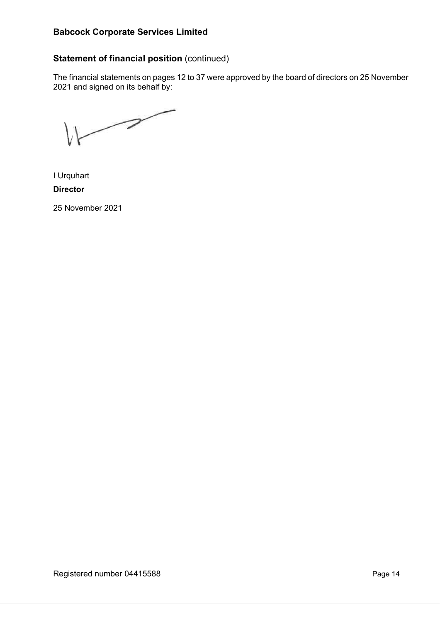# **Statement of financial position (continued)**

The financial statements on pages 12 to 37 were approved by the board of directors on 25 November 2021 and signed on its behalf by:

 $\curvearrowright$ 

I Urquhart **Director** 

25 November 2021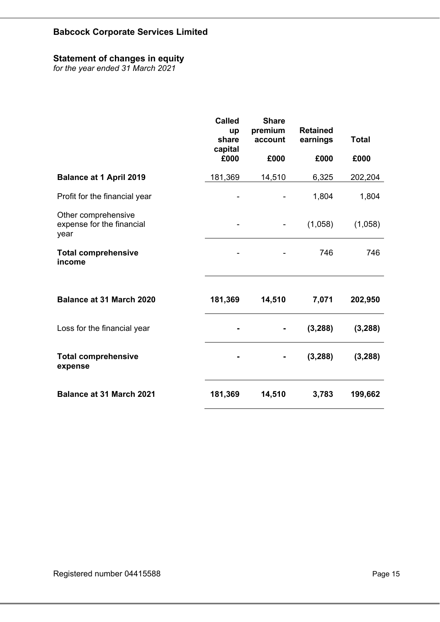# **Statement of changes in equity**

*for the year ended 31 March 2021* 

|                                                          | <b>Called</b><br>up<br>share | <b>Share</b><br>premium<br>account | <b>Retained</b><br>earnings | <b>Total</b> |
|----------------------------------------------------------|------------------------------|------------------------------------|-----------------------------|--------------|
|                                                          | capital<br>£000              | £000                               | £000                        | £000         |
| <b>Balance at 1 April 2019</b>                           | 181,369                      | 14,510                             | 6,325                       | 202,204      |
| Profit for the financial year                            |                              |                                    | 1,804                       | 1,804        |
| Other comprehensive<br>expense for the financial<br>year |                              |                                    | (1,058)                     | (1,058)      |
| <b>Total comprehensive</b><br>income                     |                              |                                    | 746                         | 746          |
| <b>Balance at 31 March 2020</b>                          | 181,369                      | 14,510                             | 7,071                       | 202,950      |
| Loss for the financial year                              |                              |                                    | (3, 288)                    | (3, 288)     |
| <b>Total comprehensive</b><br>expense                    |                              |                                    | (3, 288)                    | (3, 288)     |
| Balance at 31 March 2021                                 | 181,369                      | 14,510                             | 3,783                       | 199,662      |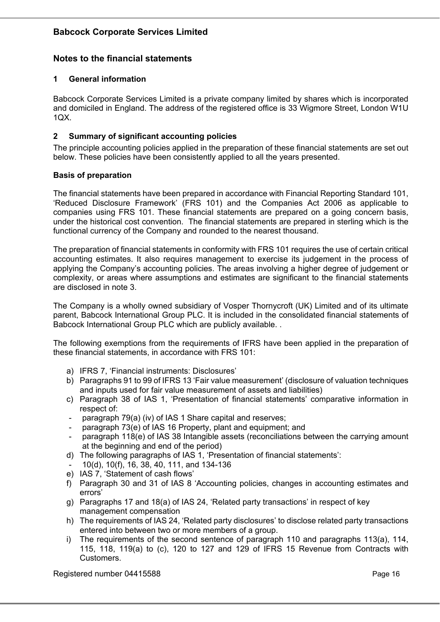# **Notes to the financial statements**

### **1 General information**

Babcock Corporate Services Limited is a private company limited by shares which is incorporated and domiciled in England. The address of the registered office is 33 Wigmore Street, London W1U 1QX.

### **2 Summary of significant accounting policies**

The principle accounting policies applied in the preparation of these financial statements are set out below. These policies have been consistently applied to all the years presented.

### **Basis of preparation**

The financial statements have been prepared in accordance with Financial Reporting Standard 101, 'Reduced Disclosure Framework' (FRS 101) and the Companies Act 2006 as applicable to companies using FRS 101. These financial statements are prepared on a going concern basis, under the historical cost convention. The financial statements are prepared in sterling which is the functional currency of the Company and rounded to the nearest thousand.

The preparation of financial statements in conformity with FRS 101 requires the use of certain critical accounting estimates. It also requires management to exercise its judgement in the process of applying the Company's accounting policies. The areas involving a higher degree of judgement or complexity, or areas where assumptions and estimates are significant to the financial statements are disclosed in note 3.

The Company is a wholly owned subsidiary of Vosper Thornycroft (UK) Limited and of its ultimate parent, Babcock International Group PLC. It is included in the consolidated financial statements of Babcock International Group PLC which are publicly available. .

The following exemptions from the requirements of IFRS have been applied in the preparation of these financial statements, in accordance with FRS 101:

- a) IFRS 7, 'Financial instruments: Disclosures'
- b) Paragraphs 91 to 99 of IFRS 13 'Fair value measurement' (disclosure of valuation techniques and inputs used for fair value measurement of assets and liabilities)
- c) Paragraph 38 of IAS 1, 'Presentation of financial statements' comparative information in respect of:
- paragraph 79(a) (iv) of IAS 1 Share capital and reserves;
- paragraph 73(e) of IAS 16 Property, plant and equipment; and
- paragraph 118(e) of IAS 38 Intangible assets (reconciliations between the carrying amount at the beginning and end of the period)
- d) The following paragraphs of IAS 1, 'Presentation of financial statements':
- 10(d), 10(f), 16, 38, 40, 111, and 134-136
- e) IAS 7, 'Statement of cash flows'
- f) Paragraph 30 and 31 of IAS 8 'Accounting policies, changes in accounting estimates and errors'
- g) Paragraphs 17 and 18(a) of IAS 24, 'Related party transactions' in respect of key management compensation
- h) The requirements of IAS 24, 'Related party disclosures' to disclose related party transactions entered into between two or more members of a group.
- i) The requirements of the second sentence of paragraph 110 and paragraphs 113(a), 114, 115, 118, 119(a) to (c), 120 to 127 and 129 of IFRS 15 Revenue from Contracts with Customers.

Registered number 04415588 **Page 16** Page 16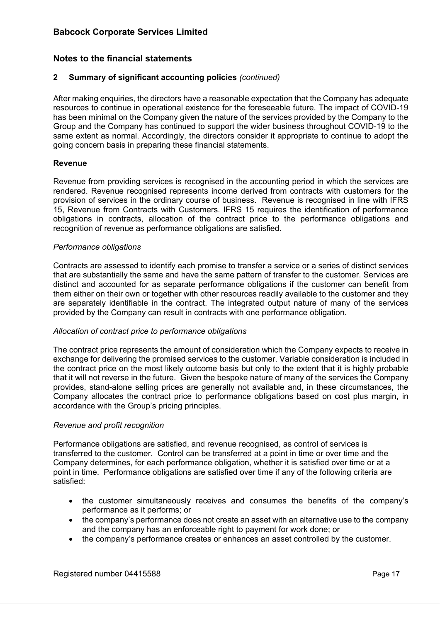## **Notes to the financial statements**

### **2 Summary of significant accounting policies** *(continued)*

After making enquiries, the directors have a reasonable expectation that the Company has adequate resources to continue in operational existence for the foreseeable future. The impact of COVID-19 has been minimal on the Company given the nature of the services provided by the Company to the Group and the Company has continued to support the wider business throughout COVID-19 to the same extent as normal. Accordingly, the directors consider it appropriate to continue to adopt the going concern basis in preparing these financial statements.

### **Revenue**

Revenue from providing services is recognised in the accounting period in which the services are rendered. Revenue recognised represents income derived from contracts with customers for the provision of services in the ordinary course of business. Revenue is recognised in line with IFRS 15, Revenue from Contracts with Customers. IFRS 15 requires the identification of performance obligations in contracts, allocation of the contract price to the performance obligations and recognition of revenue as performance obligations are satisfied.

#### *Performance obligations*

Contracts are assessed to identify each promise to transfer a service or a series of distinct services that are substantially the same and have the same pattern of transfer to the customer. Services are distinct and accounted for as separate performance obligations if the customer can benefit from them either on their own or together with other resources readily available to the customer and they are separately identifiable in the contract. The integrated output nature of many of the services provided by the Company can result in contracts with one performance obligation.

#### *Allocation of contract price to performance obligations*

The contract price represents the amount of consideration which the Company expects to receive in exchange for delivering the promised services to the customer. Variable consideration is included in the contract price on the most likely outcome basis but only to the extent that it is highly probable that it will not reverse in the future. Given the bespoke nature of many of the services the Company provides, stand-alone selling prices are generally not available and, in these circumstances, the Company allocates the contract price to performance obligations based on cost plus margin, in accordance with the Group's pricing principles.

#### *Revenue and profit recognition*

Performance obligations are satisfied, and revenue recognised, as control of services is transferred to the customer. Control can be transferred at a point in time or over time and the Company determines, for each performance obligation, whether it is satisfied over time or at a point in time. Performance obligations are satisfied over time if any of the following criteria are satisfied:

- the customer simultaneously receives and consumes the benefits of the company's performance as it performs; or
- the company's performance does not create an asset with an alternative use to the company and the company has an enforceable right to payment for work done; or
- the company's performance creates or enhances an asset controlled by the customer.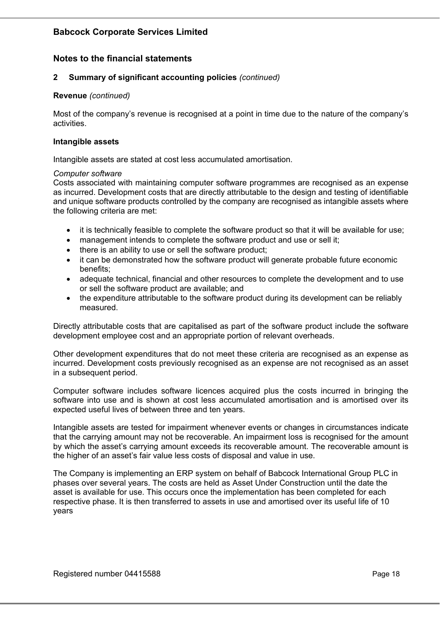### **Notes to the financial statements**

#### **2 Summary of significant accounting policies** *(continued)*

#### **Revenue** *(continued)*

Most of the company's revenue is recognised at a point in time due to the nature of the company's activities.

#### **Intangible assets**

Intangible assets are stated at cost less accumulated amortisation.

#### *Computer software*

Costs associated with maintaining computer software programmes are recognised as an expense as incurred. Development costs that are directly attributable to the design and testing of identifiable and unique software products controlled by the company are recognised as intangible assets where the following criteria are met:

- it is technically feasible to complete the software product so that it will be available for use;
- management intends to complete the software product and use or sell it;
- there is an ability to use or sell the software product;
- it can be demonstrated how the software product will generate probable future economic benefits;
- adequate technical, financial and other resources to complete the development and to use or sell the software product are available; and
- the expenditure attributable to the software product during its development can be reliably measured.

Directly attributable costs that are capitalised as part of the software product include the software development employee cost and an appropriate portion of relevant overheads.

Other development expenditures that do not meet these criteria are recognised as an expense as incurred. Development costs previously recognised as an expense are not recognised as an asset in a subsequent period.

Computer software includes software licences acquired plus the costs incurred in bringing the software into use and is shown at cost less accumulated amortisation and is amortised over its expected useful lives of between three and ten years.

Intangible assets are tested for impairment whenever events or changes in circumstances indicate that the carrying amount may not be recoverable. An impairment loss is recognised for the amount by which the asset's carrying amount exceeds its recoverable amount. The recoverable amount is the higher of an asset's fair value less costs of disposal and value in use.

The Company is implementing an ERP system on behalf of Babcock International Group PLC in phases over several years. The costs are held as Asset Under Construction until the date the asset is available for use. This occurs once the implementation has been completed for each respective phase. It is then transferred to assets in use and amortised over its useful life of 10 years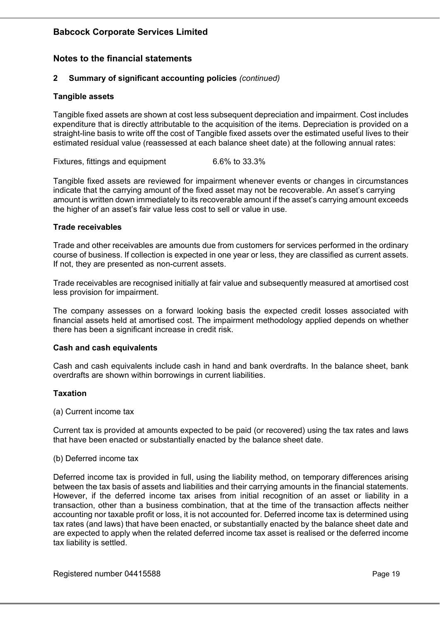### **Notes to the financial statements**

### **2 Summary of significant accounting policies** *(continued)*

#### **Tangible assets**

Tangible fixed assets are shown at cost less subsequent depreciation and impairment. Cost includes expenditure that is directly attributable to the acquisition of the items. Depreciation is provided on a straight-line basis to write off the cost of Tangible fixed assets over the estimated useful lives to their estimated residual value (reassessed at each balance sheet date) at the following annual rates:

Fixtures, fittings and equipment 6.6% to 33.3%

Tangible fixed assets are reviewed for impairment whenever events or changes in circumstances indicate that the carrying amount of the fixed asset may not be recoverable. An asset's carrying amount is written down immediately to its recoverable amount if the asset's carrying amount exceeds the higher of an asset's fair value less cost to sell or value in use.

### **Trade receivables**

Trade and other receivables are amounts due from customers for services performed in the ordinary course of business. If collection is expected in one year or less, they are classified as current assets. If not, they are presented as non-current assets.

Trade receivables are recognised initially at fair value and subsequently measured at amortised cost less provision for impairment.

The company assesses on a forward looking basis the expected credit losses associated with financial assets held at amortised cost. The impairment methodology applied depends on whether there has been a significant increase in credit risk.

#### **Cash and cash equivalents**

Cash and cash equivalents include cash in hand and bank overdrafts. In the balance sheet, bank overdrafts are shown within borrowings in current liabilities.

#### **Taxation**

#### (a) Current income tax

Current tax is provided at amounts expected to be paid (or recovered) using the tax rates and laws that have been enacted or substantially enacted by the balance sheet date.

#### (b) Deferred income tax

Deferred income tax is provided in full, using the liability method, on temporary differences arising between the tax basis of assets and liabilities and their carrying amounts in the financial statements. However, if the deferred income tax arises from initial recognition of an asset or liability in a transaction, other than a business combination, that at the time of the transaction affects neither accounting nor taxable profit or loss, it is not accounted for. Deferred income tax is determined using tax rates (and laws) that have been enacted, or substantially enacted by the balance sheet date and are expected to apply when the related deferred income tax asset is realised or the deferred income tax liability is settled.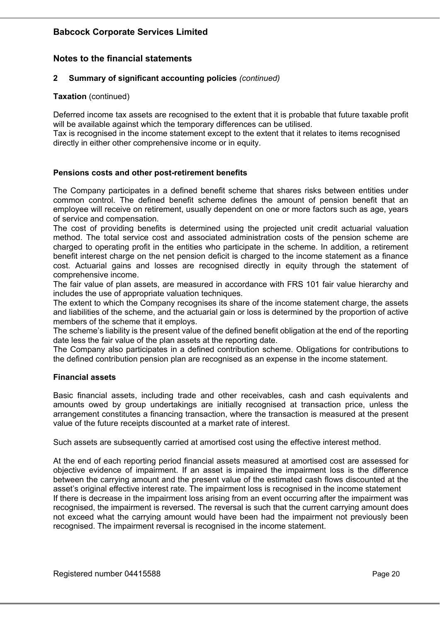## **Notes to the financial statements**

### **2 Summary of significant accounting policies** *(continued)*

#### **Taxation** (continued)

Deferred income tax assets are recognised to the extent that it is probable that future taxable profit will be available against which the temporary differences can be utilised.

Tax is recognised in the income statement except to the extent that it relates to items recognised directly in either other comprehensive income or in equity.

#### **Pensions costs and other post-retirement benefits**

The Company participates in a defined benefit scheme that shares risks between entities under common control. The defined benefit scheme defines the amount of pension benefit that an employee will receive on retirement, usually dependent on one or more factors such as age, years of service and compensation.

The cost of providing benefits is determined using the projected unit credit actuarial valuation method. The total service cost and associated administration costs of the pension scheme are charged to operating profit in the entities who participate in the scheme. In addition, a retirement benefit interest charge on the net pension deficit is charged to the income statement as a finance cost. Actuarial gains and losses are recognised directly in equity through the statement of comprehensive income.

The fair value of plan assets, are measured in accordance with FRS 101 fair value hierarchy and includes the use of appropriate valuation techniques.

The extent to which the Company recognises its share of the income statement charge, the assets and liabilities of the scheme, and the actuarial gain or loss is determined by the proportion of active members of the scheme that it employs.

The scheme's liability is the present value of the defined benefit obligation at the end of the reporting date less the fair value of the plan assets at the reporting date.

The Company also participates in a defined contribution scheme. Obligations for contributions to the defined contribution pension plan are recognised as an expense in the income statement.

#### **Financial assets**

Basic financial assets, including trade and other receivables, cash and cash equivalents and amounts owed by group undertakings are initially recognised at transaction price, unless the arrangement constitutes a financing transaction, where the transaction is measured at the present value of the future receipts discounted at a market rate of interest.

Such assets are subsequently carried at amortised cost using the effective interest method.

At the end of each reporting period financial assets measured at amortised cost are assessed for objective evidence of impairment. If an asset is impaired the impairment loss is the difference between the carrying amount and the present value of the estimated cash flows discounted at the asset's original effective interest rate. The impairment loss is recognised in the income statement If there is decrease in the impairment loss arising from an event occurring after the impairment was recognised, the impairment is reversed. The reversal is such that the current carrying amount does not exceed what the carrying amount would have been had the impairment not previously been recognised. The impairment reversal is recognised in the income statement.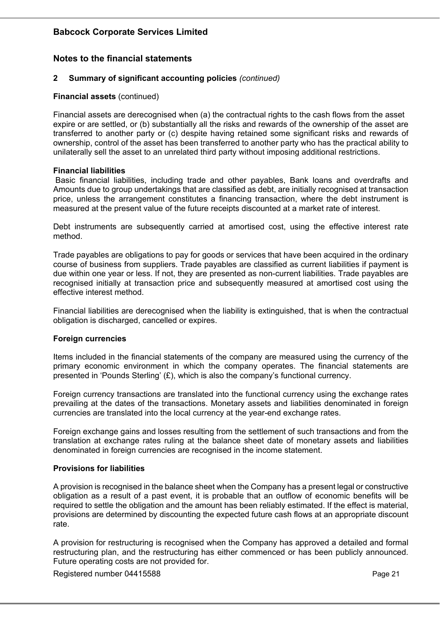### **Notes to the financial statements**

### **2 Summary of significant accounting policies** *(continued)*

#### **Financial assets** (continued)

Financial assets are derecognised when (a) the contractual rights to the cash flows from the asset expire or are settled, or (b) substantially all the risks and rewards of the ownership of the asset are transferred to another party or (c) despite having retained some significant risks and rewards of ownership, control of the asset has been transferred to another party who has the practical ability to unilaterally sell the asset to an unrelated third party without imposing additional restrictions.

#### **Financial liabilities**

Basic financial liabilities, including trade and other payables, Bank loans and overdrafts and Amounts due to group undertakings that are classified as debt, are initially recognised at transaction price, unless the arrangement constitutes a financing transaction, where the debt instrument is measured at the present value of the future receipts discounted at a market rate of interest.

Debt instruments are subsequently carried at amortised cost, using the effective interest rate method.

Trade payables are obligations to pay for goods or services that have been acquired in the ordinary course of business from suppliers. Trade payables are classified as current liabilities if payment is due within one year or less. If not, they are presented as non-current liabilities. Trade payables are recognised initially at transaction price and subsequently measured at amortised cost using the effective interest method.

Financial liabilities are derecognised when the liability is extinguished, that is when the contractual obligation is discharged, cancelled or expires.

#### **Foreign currencies**

Items included in the financial statements of the company are measured using the currency of the primary economic environment in which the company operates. The financial statements are presented in 'Pounds Sterling' (£), which is also the company's functional currency.

Foreign currency transactions are translated into the functional currency using the exchange rates prevailing at the dates of the transactions. Monetary assets and liabilities denominated in foreign currencies are translated into the local currency at the year-end exchange rates.

Foreign exchange gains and losses resulting from the settlement of such transactions and from the translation at exchange rates ruling at the balance sheet date of monetary assets and liabilities denominated in foreign currencies are recognised in the income statement.

#### **Provisions for liabilities**

A provision is recognised in the balance sheet when the Company has a present legal or constructive obligation as a result of a past event, it is probable that an outflow of economic benefits will be required to settle the obligation and the amount has been reliably estimated. If the effect is material, provisions are determined by discounting the expected future cash flows at an appropriate discount rate.

A provision for restructuring is recognised when the Company has approved a detailed and formal restructuring plan, and the restructuring has either commenced or has been publicly announced. Future operating costs are not provided for.

Registered number 04415588 Page 21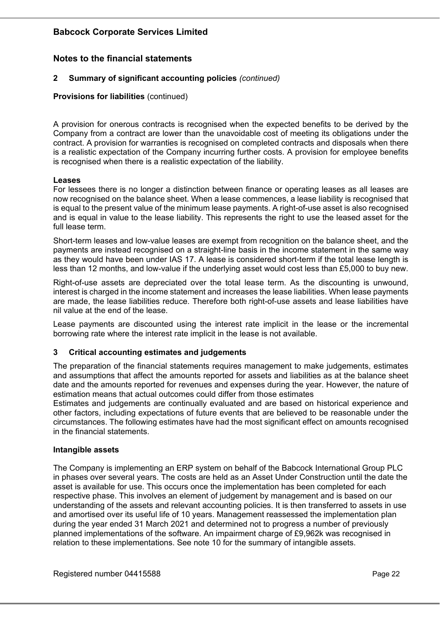## **Notes to the financial statements**

### **2 Summary of significant accounting policies** *(continued)*

#### **Provisions for liabilities** (continued)

A provision for onerous contracts is recognised when the expected benefits to be derived by the Company from a contract are lower than the unavoidable cost of meeting its obligations under the contract. A provision for warranties is recognised on completed contracts and disposals when there is a realistic expectation of the Company incurring further costs. A provision for employee benefits is recognised when there is a realistic expectation of the liability.

#### **Leases**

For lessees there is no longer a distinction between finance or operating leases as all leases are now recognised on the balance sheet. When a lease commences, a lease liability is recognised that is equal to the present value of the minimum lease payments. A right-of-use asset is also recognised and is equal in value to the lease liability. This represents the right to use the leased asset for the full lease term.

Short-term leases and low-value leases are exempt from recognition on the balance sheet, and the payments are instead recognised on a straight-line basis in the income statement in the same way as they would have been under IAS 17. A lease is considered short-term if the total lease length is less than 12 months, and low-value if the underlying asset would cost less than £5,000 to buy new.

Right-of-use assets are depreciated over the total lease term. As the discounting is unwound, interest is charged in the income statement and increases the lease liabilities. When lease payments are made, the lease liabilities reduce. Therefore both right-of-use assets and lease liabilities have nil value at the end of the lease.

Lease payments are discounted using the interest rate implicit in the lease or the incremental borrowing rate where the interest rate implicit in the lease is not available.

#### **3 Critical accounting estimates and judgements**

The preparation of the financial statements requires management to make judgements, estimates and assumptions that affect the amounts reported for assets and liabilities as at the balance sheet date and the amounts reported for revenues and expenses during the year. However, the nature of estimation means that actual outcomes could differ from those estimates

Estimates and judgements are continually evaluated and are based on historical experience and other factors, including expectations of future events that are believed to be reasonable under the circumstances. The following estimates have had the most significant effect on amounts recognised in the financial statements.

#### **Intangible assets**

The Company is implementing an ERP system on behalf of the Babcock International Group PLC in phases over several years. The costs are held as an Asset Under Construction until the date the asset is available for use. This occurs once the implementation has been completed for each respective phase. This involves an element of judgement by management and is based on our understanding of the assets and relevant accounting policies. It is then transferred to assets in use and amortised over its useful life of 10 years. Management reassessed the implementation plan during the year ended 31 March 2021 and determined not to progress a number of previously planned implementations of the software. An impairment charge of £9,962k was recognised in relation to these implementations. See note 10 for the summary of intangible assets.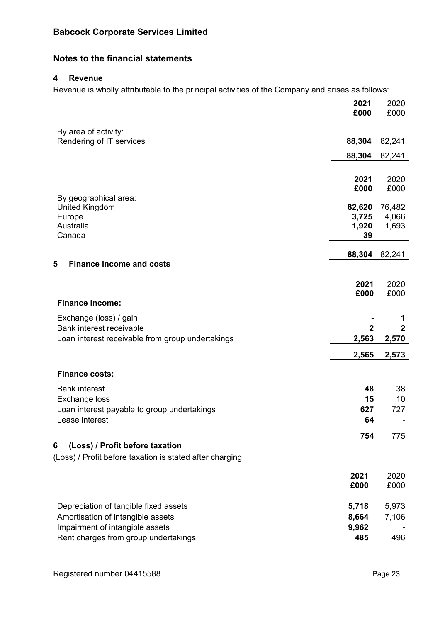# **Notes to the financial statements**

# **4 Revenue**

Revenue is wholly attributable to the principal activities of the Company and arises as follows:

|                                                                            | 2021<br>£000                    | 2020<br>£000                    |
|----------------------------------------------------------------------------|---------------------------------|---------------------------------|
| By area of activity:                                                       |                                 |                                 |
| Rendering of IT services                                                   | 88,304                          | 82,241                          |
|                                                                            | 88,304                          | 82,241                          |
| By geographical area:<br>United Kingdom<br>Europe                          | 2021<br>£000<br>82,620<br>3,725 | 2020<br>£000<br>76,482<br>4,066 |
| Australia                                                                  | 1,920                           | 1,693                           |
| Canada                                                                     | 39                              |                                 |
|                                                                            | 88,304                          | 82,241                          |
| 5<br><b>Finance income and costs</b>                                       |                                 |                                 |
| <b>Finance income:</b>                                                     | 2021<br>£000                    | 2020<br>£000                    |
| Exchange (loss) / gain                                                     |                                 | 1                               |
|                                                                            |                                 |                                 |
| Bank interest receivable                                                   | $\overline{2}$                  | $\mathbf{2}$                    |
| Loan interest receivable from group undertakings                           | 2,563                           | 2,570                           |
|                                                                            | 2,565                           | 2,573                           |
| <b>Finance costs:</b>                                                      |                                 |                                 |
| <b>Bank interest</b>                                                       | 48                              |                                 |
| <b>Exchange loss</b>                                                       | 15                              | 38<br>10                        |
| Loan interest payable to group undertakings                                | 627                             | 727                             |
| Lease interest                                                             | 64                              |                                 |
|                                                                            | 754                             | 775                             |
| (Loss) / Profit before taxation<br>6                                       |                                 |                                 |
|                                                                            |                                 |                                 |
| (Loss) / Profit before taxation is stated after charging:                  | 2021<br>£000                    | 2020<br>£000                    |
|                                                                            |                                 |                                 |
| Depreciation of tangible fixed assets<br>Amortisation of intangible assets | 5,718<br>8,664                  | 5,973<br>7,106                  |
| Impairment of intangible assets<br>Rent charges from group undertakings    | 9,962<br>485                    | 496                             |

Registered number 04415588 Page 23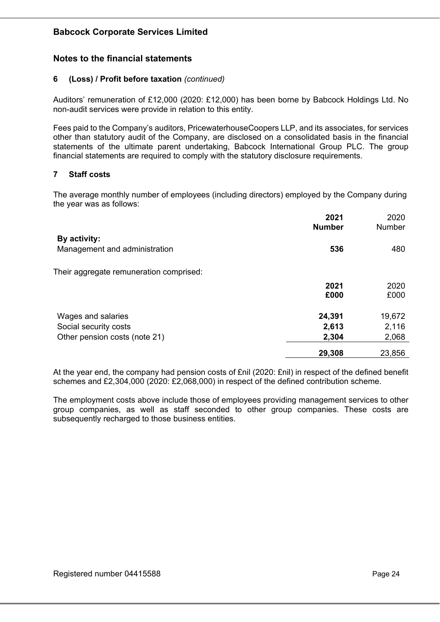## **Notes to the financial statements**

### **6 (Loss) / Profit before taxation** *(continued)*

Auditors' remuneration of £12,000 (2020: £12,000) has been borne by Babcock Holdings Ltd. No non-audit services were provide in relation to this entity.

Fees paid to the Company's auditors, PricewaterhouseCoopers LLP, and its associates, for services other than statutory audit of the Company, are disclosed on a consolidated basis in the financial statements of the ultimate parent undertaking, Babcock International Group PLC. The group financial statements are required to comply with the statutory disclosure requirements.

### **7 Staff costs**

The average monthly number of employees (including directors) employed by the Company during the year was as follows:

|                                         | 2021<br><b>Number</b> | 2020<br>Number |
|-----------------------------------------|-----------------------|----------------|
| By activity:                            |                       |                |
| Management and administration           | 536                   | 480            |
| Their aggregate remuneration comprised: |                       |                |
|                                         | 2021                  | 2020           |
|                                         | £000                  | £000           |
| Wages and salaries                      | 24,391                | 19,672         |
| Social security costs                   | 2,613                 | 2,116          |
| Other pension costs (note 21)           | 2,304                 | 2,068          |
|                                         | 29,308                | 23,856         |

At the year end, the company had pension costs of £nil (2020: £nil) in respect of the defined benefit schemes and £2,304,000 (2020: £2,068,000) in respect of the defined contribution scheme.

The employment costs above include those of employees providing management services to other group companies, as well as staff seconded to other group companies. These costs are subsequently recharged to those business entities.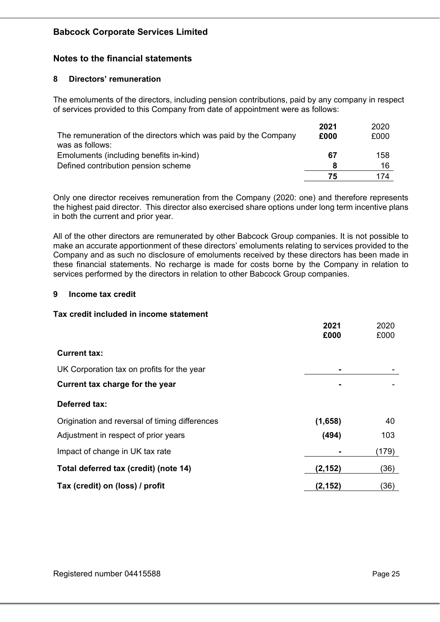# **Notes to the financial statements**

#### **8 Directors' remuneration**

The emoluments of the directors, including pension contributions, paid by any company in respect of services provided to this Company from date of appointment were as follows:

|                                                                 | 2021 | 2020 |
|-----------------------------------------------------------------|------|------|
| The remuneration of the directors which was paid by the Company | £000 | £000 |
| was as follows:                                                 |      |      |
| Emoluments (including benefits in-kind)                         | 67   | 158  |
| Defined contribution pension scheme                             | 8    | 16   |
|                                                                 | 75   | 174  |

Only one director receives remuneration from the Company (2020: one) and therefore represents the highest paid director. This director also exercised share options under long term incentive plans in both the current and prior year.

All of the other directors are remunerated by other Babcock Group companies. It is not possible to make an accurate apportionment of these directors' emoluments relating to services provided to the Company and as such no disclosure of emoluments received by these directors has been made in these financial statements. No recharge is made for costs borne by the Company in relation to services performed by the directors in relation to other Babcock Group companies.

#### **9 Income tax credit**

### **Tax credit included in income statement**

|                                                | 2021<br>£000 | 2020<br>£000 |
|------------------------------------------------|--------------|--------------|
| <b>Current tax:</b>                            |              |              |
| UK Corporation tax on profits for the year     |              |              |
| Current tax charge for the year                |              |              |
| <b>Deferred tax:</b>                           |              |              |
| Origination and reversal of timing differences | (1,658)      | 40           |
| Adjustment in respect of prior years           | (494)        | 103          |
| Impact of change in UK tax rate                |              | (179)        |
| Total deferred tax (credit) (note 14)          | (2,152)      | (36)         |
| Tax (credit) on (loss) / profit                | (2, 152)     | (36)         |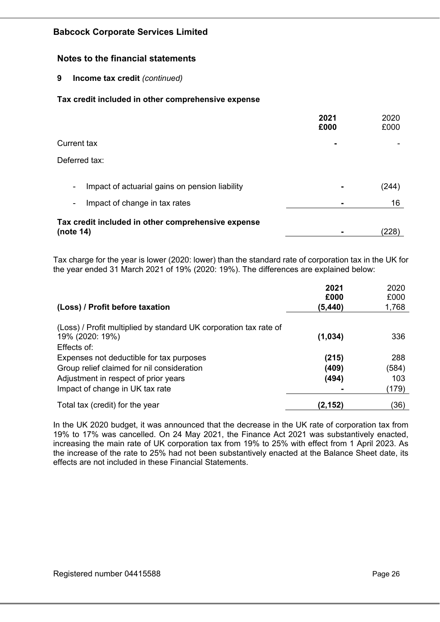# **Notes to the financial statements**

### **9 Income tax credit** *(continued)*

### **Tax credit included in other comprehensive expense**

|                                                                  | 2021<br>£000 | 2020<br>£000 |
|------------------------------------------------------------------|--------------|--------------|
| Current tax                                                      |              |              |
| Deferred tax:                                                    |              |              |
| Impact of actuarial gains on pension liability<br>$\blacksquare$ |              | (244)        |
| Impact of change in tax rates<br>$\blacksquare$                  |              | 16           |
| Tax credit included in other comprehensive expense<br>(note 14)  |              | 228          |

Tax charge for the year is lower (2020: lower) than the standard rate of corporation tax in the UK for the year ended 31 March 2021 of 19% (2020: 19%). The differences are explained below:

|                                                                   | 2021    | 2020  |
|-------------------------------------------------------------------|---------|-------|
|                                                                   | £000    | £000  |
| (Loss) / Profit before taxation                                   | (5,440) | 1,768 |
|                                                                   |         |       |
| (Loss) / Profit multiplied by standard UK corporation tax rate of |         |       |
| 19% (2020: 19%)                                                   | (1,034) | 336   |
| Effects of:                                                       |         |       |
| Expenses not deductible for tax purposes                          | (215)   | 288   |
| Group relief claimed for nil consideration                        | (409)   | (584) |
| Adjustment in respect of prior years                              | (494)   | 103   |
| Impact of change in UK tax rate                                   |         | (179) |
| Total tax (credit) for the year                                   | (2,152) | (36)  |
|                                                                   |         |       |

In the UK 2020 budget, it was announced that the decrease in the UK rate of corporation tax from 19% to 17% was cancelled. On 24 May 2021, the Finance Act 2021 was substantively enacted, increasing the main rate of UK corporation tax from 19% to 25% with effect from 1 April 2023. As the increase of the rate to 25% had not been substantively enacted at the Balance Sheet date, its effects are not included in these Financial Statements.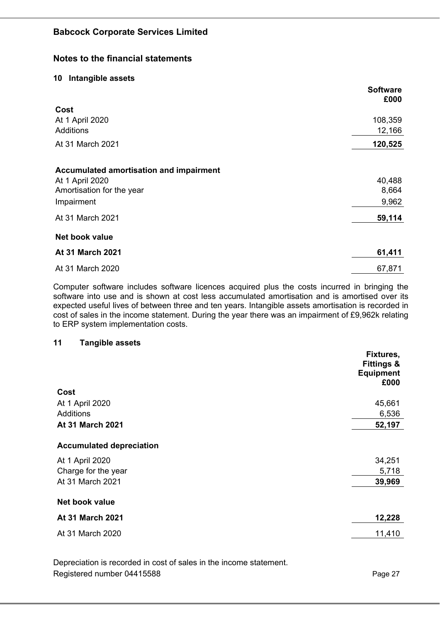### **Notes to the financial statements**

### **10 Intangible assets**

|                                         | <b>Software</b><br>£000 |
|-----------------------------------------|-------------------------|
| Cost                                    |                         |
| At 1 April 2020                         | 108,359                 |
| <b>Additions</b>                        | 12,166                  |
| At 31 March 2021                        | 120,525                 |
| Accumulated amortisation and impairment |                         |
| At 1 April 2020                         | 40,488                  |
| Amortisation for the year               | 8,664                   |
| Impairment                              | 9,962                   |
| At 31 March 2021                        | 59,114                  |
| Net book value                          |                         |
| At 31 March 2021                        | 61,411                  |
| At 31 March 2020                        | 67,871                  |

Computer software includes software licences acquired plus the costs incurred in bringing the software into use and is shown at cost less accumulated amortisation and is amortised over its expected useful lives of between three and ten years. Intangible assets amortisation is recorded in cost of sales in the income statement. During the year there was an impairment of £9,962k relating to ERP system implementation costs.

#### **11 Tangible assets**

|                                 | Fixtures,<br><b>Fittings &amp;</b><br><b>Equipment</b><br>£000 |
|---------------------------------|----------------------------------------------------------------|
| Cost                            |                                                                |
| At 1 April 2020                 | 45,661                                                         |
| <b>Additions</b>                | 6,536                                                          |
| At 31 March 2021                | 52,197                                                         |
| <b>Accumulated depreciation</b> |                                                                |
| At 1 April 2020                 | 34,251                                                         |
| Charge for the year             | 5,718                                                          |
| At 31 March 2021                | 39,969                                                         |
| Net book value                  |                                                                |
| At 31 March 2021                | 12,228                                                         |
| At 31 March 2020                | 11,410                                                         |
|                                 |                                                                |

Registered number 04415588 Page 27 Depreciation is recorded in cost of sales in the income statement.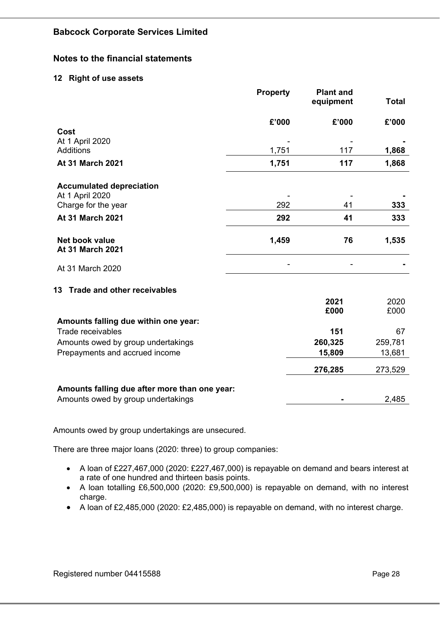## **Notes to the financial statements**

### **12 Right of use assets**

|                                               | <b>Property</b> | <b>Plant and</b><br>equipment | <b>Total</b> |
|-----------------------------------------------|-----------------|-------------------------------|--------------|
|                                               | £'000           | £'000                         | £'000        |
| Cost                                          |                 |                               |              |
| At 1 April 2020                               |                 |                               |              |
| <b>Additions</b>                              | 1,751           | 117                           | 1,868        |
| At 31 March 2021                              | 1,751           | 117                           | 1,868        |
| <b>Accumulated depreciation</b>               |                 |                               |              |
| At 1 April 2020                               |                 |                               |              |
| Charge for the year                           | 292             | 41                            | 333          |
| At 31 March 2021                              | 292             | 41                            | 333          |
| Net book value<br>At 31 March 2021            | 1,459           | 76                            | 1,535        |
| At 31 March 2020                              |                 |                               |              |
| Trade and other receivables<br>13             |                 |                               |              |
|                                               |                 | 2021                          | 2020         |
|                                               |                 | £000                          | £000         |
| Amounts falling due within one year:          |                 |                               |              |
| Trade receivables                             |                 | 151                           | 67           |
| Amounts owed by group undertakings            |                 | 260,325                       | 259,781      |
| Prepayments and accrued income                |                 | 15,809                        | 13,681       |
|                                               |                 | 276,285                       | 273,529      |
| Amounts falling due after more than one year: |                 |                               |              |
| Amounts owed by group undertakings            |                 |                               | 2,485        |

Amounts owed by group undertakings are unsecured.

There are three major loans (2020: three) to group companies:

- A loan of £227,467,000 (2020: £227,467,000) is repayable on demand and bears interest at a rate of one hundred and thirteen basis points.
- A loan totalling £6,500,000 (2020: £9,500,000) is repayable on demand, with no interest charge.
- A loan of £2,485,000 (2020: £2,485,000) is repayable on demand, with no interest charge.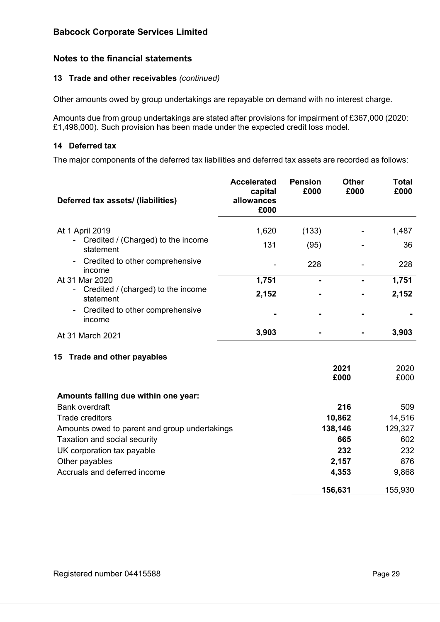# **Notes to the financial statements**

### **13 Trade and other receivables** *(continued)*

Other amounts owed by group undertakings are repayable on demand with no interest charge.

Amounts due from group undertakings are stated after provisions for impairment of £367,000 (2020: £1,498,000). Such provision has been made under the expected credit loss model.

### **14 Deferred tax**

The major components of the deferred tax liabilities and deferred tax assets are recorded as follows:

| Deferred tax assets/ (liabilities)              | <b>Accelerated</b><br>capital<br>allowances<br>£000 | <b>Pension</b><br>£000 | <b>Other</b><br>£000 | <b>Total</b><br>£000 |
|-------------------------------------------------|-----------------------------------------------------|------------------------|----------------------|----------------------|
| At 1 April 2019                                 | 1,620                                               | (133)                  |                      | 1,487                |
| Credited / (Charged) to the income<br>statement | 131                                                 | (95)                   |                      | 36                   |
| Credited to other comprehensive<br>income       | ۰                                                   | 228                    |                      | 228                  |
| At 31 Mar 2020                                  | 1,751                                               |                        | $\blacksquare$       | 1,751                |
| Credited / (charged) to the income<br>statement | 2,152                                               |                        |                      | 2,152                |
| Credited to other comprehensive<br>income       |                                                     |                        |                      |                      |
| At 31 March 2021                                | 3,903                                               |                        |                      | 3,903                |
| 15 Trade and other payables                     |                                                     |                        |                      |                      |
|                                                 |                                                     |                        | 2021<br>£000         | 2020<br>£000         |
| Amounts falling due within one year:            |                                                     |                        |                      |                      |
| <b>Bank overdraft</b>                           |                                                     |                        | 216                  | 509                  |
| <b>Trade creditors</b>                          |                                                     |                        | 10,862               | 14,516               |
| Amounts owed to parent and group undertakings   |                                                     |                        | 138,146              | 129,327              |
| Taxation and social security                    |                                                     |                        | 665                  | 602                  |
| UK corporation tax payable                      |                                                     |                        | 232                  | 232                  |
| Other payables                                  |                                                     |                        | 2,157                | 876                  |
| Accruals and deferred income                    |                                                     |                        | 4,353                | 9,868                |
|                                                 |                                                     |                        | 156,631              | 155,930              |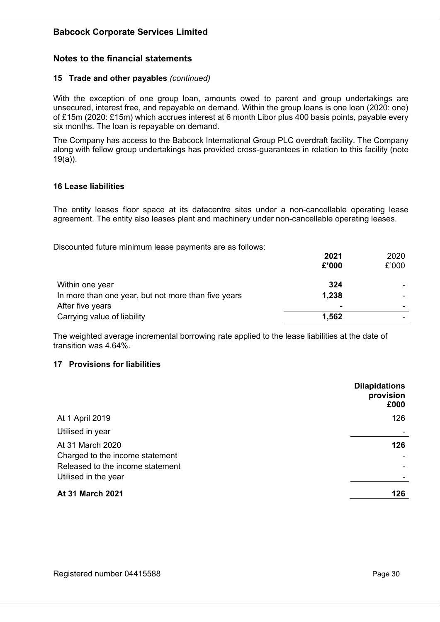## **Notes to the financial statements**

#### **15 Trade and other payables** *(continued)*

With the exception of one group loan, amounts owed to parent and group undertakings are unsecured, interest free, and repayable on demand. Within the group loans is one loan (2020: one) of £15m (2020: £15m) which accrues interest at 6 month Libor plus 400 basis points, payable every six months. The loan is repayable on demand.

The Company has access to the Babcock International Group PLC overdraft facility. The Company along with fellow group undertakings has provided cross-guarantees in relation to this facility (note 19(a)).

### **16 Lease liabilities**

The entity leases floor space at its datacentre sites under a non-cancellable operating lease agreement. The entity also leases plant and machinery under non-cancellable operating leases.

Discounted future minimum lease payments are as follows:

|                                                     | 2021           | 2020  |
|-----------------------------------------------------|----------------|-------|
|                                                     | £'000          | £'000 |
| Within one year                                     | 324            |       |
| In more than one year, but not more than five years | 1,238          |       |
| After five years                                    | $\blacksquare$ |       |
| Carrying value of liability                         | 1,562          |       |
|                                                     |                |       |

The weighted average incremental borrowing rate applied to the lease liabilities at the date of transition was 4.64%.

### **17 Provisions for liabilities**

|                                                                                                                 | <b>Dilapidations</b><br>provision<br>£000 |
|-----------------------------------------------------------------------------------------------------------------|-------------------------------------------|
| At 1 April 2019                                                                                                 | 126                                       |
| Utilised in year                                                                                                |                                           |
| At 31 March 2020<br>Charged to the income statement<br>Released to the income statement<br>Utilised in the year | 126                                       |
| <b>At 31 March 2021</b>                                                                                         | 126                                       |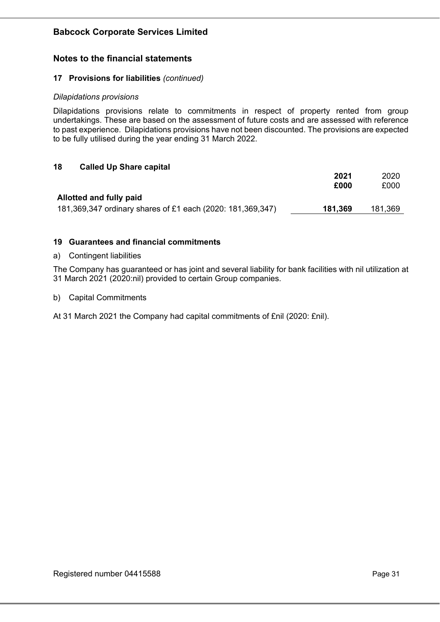## **Notes to the financial statements**

### **17 Provisions for liabilities** *(continued)*

#### *Dilapidations provisions*

Dilapidations provisions relate to commitments in respect of property rented from group undertakings. These are based on the assessment of future costs and are assessed with reference to past experience. Dilapidations provisions have not been discounted. The provisions are expected to be fully utilised during the year ending 31 March 2022.

### **18 Called Up Share capital**

|                                                            | 2021<br>£000 | 2020<br>£000 |
|------------------------------------------------------------|--------------|--------------|
| Allotted and fully paid                                    |              |              |
| 181,369,347 ordinary shares of £1 each (2020: 181,369,347) | 181,369      | 181,369      |

#### **19 Guarantees and financial commitments**

#### a) Contingent liabilities

The Company has guaranteed or has joint and several liability for bank facilities with nil utilization at 31 March 2021 (2020:nil) provided to certain Group companies.

b) Capital Commitments

At 31 March 2021 the Company had capital commitments of £nil (2020: £nil).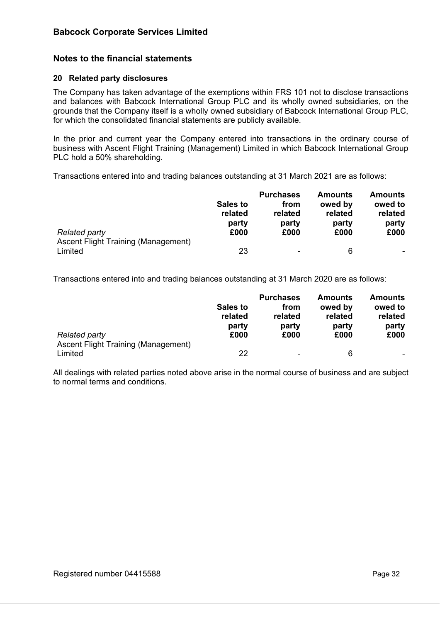## **Notes to the financial statements**

### **20 Related party disclosures**

The Company has taken advantage of the exemptions within FRS 101 not to disclose transactions and balances with Babcock International Group PLC and its wholly owned subsidiaries, on the grounds that the Company itself is a wholly owned subsidiary of Babcock International Group PLC, for which the consolidated financial statements are publicly available.

In the prior and current year the Company entered into transactions in the ordinary course of business with Ascent Flight Training (Management) Limited in which Babcock International Group PLC hold a 50% shareholding.

Transactions entered into and trading balances outstanding at 31 March 2021 are as follows:

| <b>Related party</b><br><b>Ascent Flight Training (Management)</b> | <b>Sales to</b><br>related<br>party<br>£000 | <b>Purchases</b><br>from<br>related<br>party<br>£000 | Amounts<br>owed by<br>related<br>party<br>£000 | <b>Amounts</b><br>owed to<br>related<br>party<br>£000 |
|--------------------------------------------------------------------|---------------------------------------------|------------------------------------------------------|------------------------------------------------|-------------------------------------------------------|
| Limited                                                            | 23                                          |                                                      | 6                                              |                                                       |

Transactions entered into and trading balances outstanding at 31 March 2020 are as follows:

| <b>Related party</b><br><b>Ascent Flight Training (Management)</b> | Sales to<br>related<br>party<br>£000 | <b>Purchases</b><br>from<br>related<br>party<br>£000 | <b>Amounts</b><br>owed by<br>related<br>party<br>£000 | <b>Amounts</b><br>owed to<br>related<br>party<br>£000 |
|--------------------------------------------------------------------|--------------------------------------|------------------------------------------------------|-------------------------------------------------------|-------------------------------------------------------|
| Limited                                                            | 22                                   |                                                      | 6                                                     |                                                       |

All dealings with related parties noted above arise in the normal course of business and are subject to normal terms and conditions.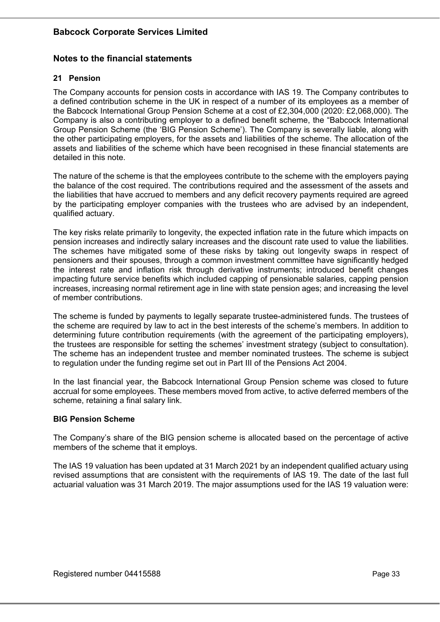# **Notes to the financial statements**

## **21 Pension**

The Company accounts for pension costs in accordance with IAS 19. The Company contributes to a defined contribution scheme in the UK in respect of a number of its employees as a member of the Babcock International Group Pension Scheme at a cost of £2,304,000 (2020: £2,068,000). The Company is also a contributing employer to a defined benefit scheme, the "Babcock International Group Pension Scheme (the 'BIG Pension Scheme'). The Company is severally liable, along with the other participating employers, for the assets and liabilities of the scheme. The allocation of the assets and liabilities of the scheme which have been recognised in these financial statements are detailed in this note.

The nature of the scheme is that the employees contribute to the scheme with the employers paying the balance of the cost required. The contributions required and the assessment of the assets and the liabilities that have accrued to members and any deficit recovery payments required are agreed by the participating employer companies with the trustees who are advised by an independent, qualified actuary.

The key risks relate primarily to longevity, the expected inflation rate in the future which impacts on pension increases and indirectly salary increases and the discount rate used to value the liabilities. The schemes have mitigated some of these risks by taking out longevity swaps in respect of pensioners and their spouses, through a common investment committee have significantly hedged the interest rate and inflation risk through derivative instruments; introduced benefit changes impacting future service benefits which included capping of pensionable salaries, capping pension increases, increasing normal retirement age in line with state pension ages; and increasing the level of member contributions.

The scheme is funded by payments to legally separate trustee-administered funds. The trustees of the scheme are required by law to act in the best interests of the scheme's members. In addition to determining future contribution requirements (with the agreement of the participating employers), the trustees are responsible for setting the schemes' investment strategy (subject to consultation). The scheme has an independent trustee and member nominated trustees. The scheme is subject to regulation under the funding regime set out in Part III of the Pensions Act 2004.

In the last financial year, the Babcock International Group Pension scheme was closed to future accrual for some employees. These members moved from active, to active deferred members of the scheme, retaining a final salary link.

### **BIG Pension Scheme**

The Company's share of the BIG pension scheme is allocated based on the percentage of active members of the scheme that it employs.

The IAS 19 valuation has been updated at 31 March 2021 by an independent qualified actuary using revised assumptions that are consistent with the requirements of IAS 19. The date of the last full actuarial valuation was 31 March 2019. The major assumptions used for the IAS 19 valuation were: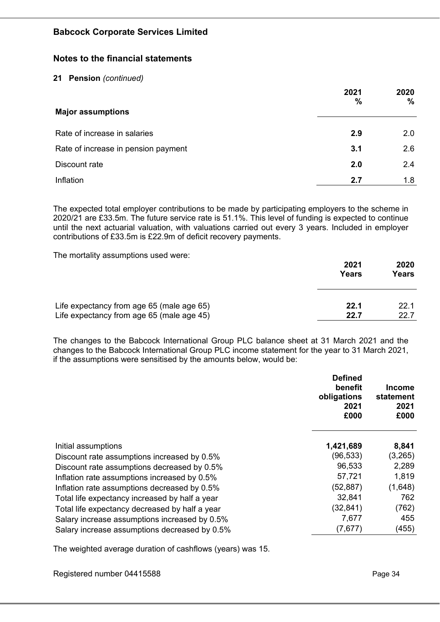# **Notes to the financial statements**

**21 Pension** *(continued)*

|                                     | 2021<br>$\frac{0}{0}$ | 2020<br>$\%$ |
|-------------------------------------|-----------------------|--------------|
| <b>Major assumptions</b>            |                       |              |
| Rate of increase in salaries        | 2.9                   | 2.0          |
| Rate of increase in pension payment | 3.1                   | 2.6          |
| Discount rate                       | 2.0                   | 2.4          |
| Inflation                           | 2.7                   | 1.8          |

The expected total employer contributions to be made by participating employers to the scheme in 2020/21 are £33.5m. The future service rate is 51.1%. This level of funding is expected to continue until the next actuarial valuation, with valuations carried out every 3 years. Included in employer contributions of £33.5m is £22.9m of deficit recovery payments.

The mortality assumptions used were:

|                                           | 2021<br>Years | 2020<br>Years |
|-------------------------------------------|---------------|---------------|
|                                           |               |               |
| Life expectancy from age 65 (male age 65) | 22.1          | 221           |
| Life expectancy from age 65 (male age 45) | 22.7          | 22.7          |

The changes to the Babcock International Group PLC balance sheet at 31 March 2021 and the changes to the Babcock International Group PLC income statement for the year to 31 March 2021, if the assumptions were sensitised by the amounts below, would be:

|                                                | <b>Defined</b><br>benefit<br>obligations<br>2021<br>£000 | <b>Income</b><br>statement<br>2021<br>£000 |
|------------------------------------------------|----------------------------------------------------------|--------------------------------------------|
| Initial assumptions                            | 1,421,689                                                | 8,841                                      |
| Discount rate assumptions increased by 0.5%    | (96,533)                                                 | (3,265)                                    |
| Discount rate assumptions decreased by 0.5%    | 96,533                                                   | 2,289                                      |
| Inflation rate assumptions increased by 0.5%   | 57,721                                                   | 1,819                                      |
| Inflation rate assumptions decreased by 0.5%   | (52,887)                                                 | (1,648)                                    |
| Total life expectancy increased by half a year | 32,841                                                   | 762                                        |
| Total life expectancy decreased by half a year | (32, 841)                                                | (762)                                      |
| Salary increase assumptions increased by 0.5%  | 7,677                                                    | 455                                        |
| Salary increase assumptions decreased by 0.5%  | (7,677)                                                  | (455)                                      |

The weighted average duration of cashflows (years) was 15.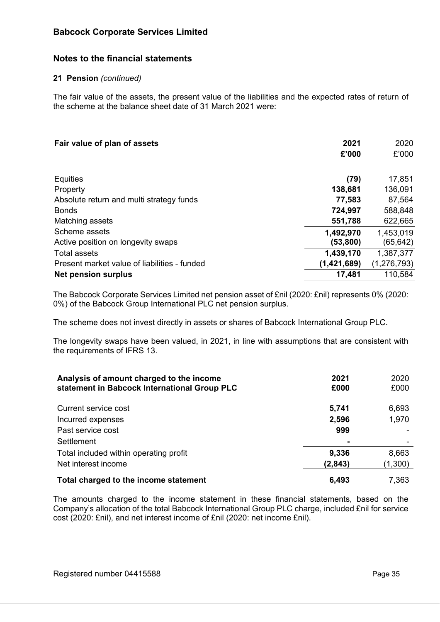# **Notes to the financial statements**

### **21 Pension** *(continued)*

The fair value of the assets, the present value of the liabilities and the expected rates of return of the scheme at the balance sheet date of 31 March 2021 were:

| Fair value of plan of assets                 | 2021<br>£'000 | 2020<br>£'000 |
|----------------------------------------------|---------------|---------------|
| Equities                                     | (79)          | 17,851        |
| Property                                     | 138,681       | 136,091       |
| Absolute return and multi strategy funds     | 77,583        | 87,564        |
| <b>Bonds</b>                                 | 724,997       | 588,848       |
| Matching assets                              | 551,788       | 622,665       |
| Scheme assets                                | 1,492,970     | 1,453,019     |
| Active position on longevity swaps           | (53, 800)     | (65, 642)     |
| Total assets                                 | 1,439,170     | 1,387,377     |
| Present market value of liabilities - funded | (1,421,689)   | (1, 276, 793) |
| Net pension surplus                          | 17,481        | 110,584       |

The Babcock Corporate Services Limited net pension asset of £nil (2020: £nil) represents 0% (2020: 0%) of the Babcock Group International PLC net pension surplus.

The scheme does not invest directly in assets or shares of Babcock International Group PLC.

The longevity swaps have been valued, in 2021, in line with assumptions that are consistent with the requirements of IFRS 13.

| Analysis of amount charged to the income<br>statement in Babcock International Group PLC | 2021<br>£000 | 2020<br>£000 |
|------------------------------------------------------------------------------------------|--------------|--------------|
| Current service cost                                                                     | 5,741        | 6,693        |
| Incurred expenses                                                                        | 2,596        | 1,970        |
| Past service cost                                                                        | 999          |              |
| Settlement                                                                               |              |              |
| Total included within operating profit                                                   | 9,336        | 8,663        |
| Net interest income                                                                      | (2,843)      | (1,300)      |
| Total charged to the income statement                                                    | 6,493        | 7.363        |

The amounts charged to the income statement in these financial statements, based on the Company's allocation of the total Babcock International Group PLC charge, included £nil for service cost (2020: £nil), and net interest income of £nil (2020: net income £nil).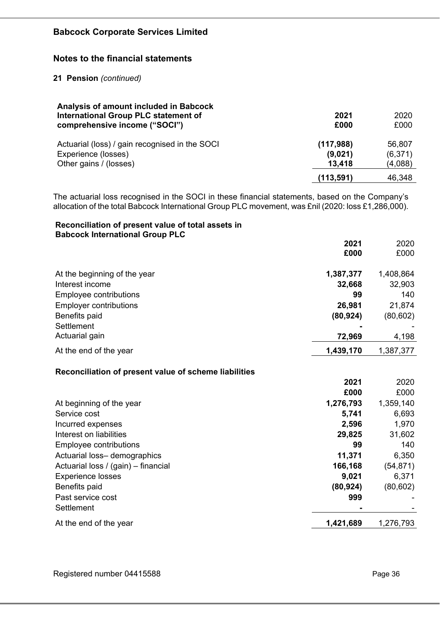# **Notes to the financial statements**

**21 Pension** *(continued)*

| Analysis of amount included in Babcock<br><b>International Group PLC statement of</b><br>comprehensive income ("SOCI") | 2021<br>£000         | 2020<br>£000      |
|------------------------------------------------------------------------------------------------------------------------|----------------------|-------------------|
| Actuarial (loss) / gain recognised in the SOCI<br>Experience (losses)                                                  | (117,988)<br>(9,021) | 56,807<br>(6,371) |
| Other gains / (losses)                                                                                                 | 13,418               | (4,088)           |
|                                                                                                                        | (113, 591)           | 46,348            |

The actuarial loss recognised in the SOCI in these financial statements, based on the Company's allocation of the total Babcock International Group PLC movement, was £nil (2020: loss £1,286,000).

| Reconciliation of present value of total assets in<br><b>Babcock International Group PLC</b> |           |           |
|----------------------------------------------------------------------------------------------|-----------|-----------|
|                                                                                              | 2021      | 2020      |
|                                                                                              | £000      | £000      |
| At the beginning of the year                                                                 | 1,387,377 | 1,408,864 |
| Interest income                                                                              | 32,668    | 32,903    |
| <b>Employee contributions</b>                                                                | 99        | 140       |
| <b>Employer contributions</b>                                                                | 26,981    | 21,874    |
| Benefits paid                                                                                | (80, 924) | (80, 602) |
| Settlement                                                                                   |           |           |
| Actuarial gain                                                                               | 72,969    | 4,198     |
| At the end of the year                                                                       | 1,439,170 | 1,387,377 |
| Reconciliation of present value of scheme liabilities                                        |           |           |
|                                                                                              | 2021      | 2020      |
|                                                                                              | £000      | £000      |
| At beginning of the year                                                                     | 1,276,793 | 1,359,140 |
| Service cost                                                                                 | 5,741     | 6,693     |
| Incurred expenses                                                                            | 2,596     | 1,970     |
| Interest on liabilities                                                                      | 29,825    | 31,602    |
| <b>Employee contributions</b>                                                                | 99        | 140       |
| Actuarial loss-demographics                                                                  | 11,371    | 6,350     |
| Actuarial loss / (gain) - financial                                                          | 166,168   | (54, 871) |
| <b>Experience losses</b>                                                                     | 9,021     | 6,371     |
| <b>Benefits paid</b>                                                                         | (80, 924) | (80, 602) |
| Past service cost                                                                            | 999       |           |
| Settlement                                                                                   |           |           |
| At the end of the year                                                                       | 1,421,689 | 1,276,793 |
|                                                                                              |           |           |